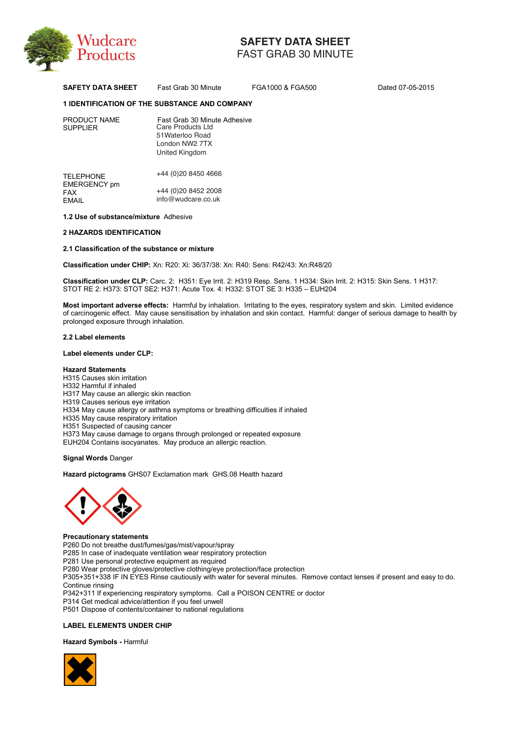

# **SAFETY DATA SHEET**

FAST GRAB 30 MINUTE

**SAFETY DATA SHEET** Fast Grab 30 Minute FGA1000 & FGA500 Dated 07-05-2015

# **1 IDENTIFICATION OF THE SUBSTANCE AND COMPANY**

| PRODUCT NAME<br><b>SUPPLIER</b> | Fast Grab 30 Minute Adhesive<br>Care Products Ltd<br>51 Waterloo Road<br>London NW2 7TX<br>United Kingdom |
|---------------------------------|-----------------------------------------------------------------------------------------------------------|
| <b>TELEPHONE</b>                | +44 (0)20 8450 4666                                                                                       |

EMERGENCY pm FAX +44 (0)20 8452 2008 EMAIL info@wudcare.co.uk info@wudcare.co.uk

# **1.2 Use of substance/mixture** Adhesive

# **2 HAZARDS IDENTIFICATION**

# **2.1 Classification of the substance or mixture**

**Classification under CHIP:** Xn: R20: Xi: 36/37/38: Xn: R40: Sens: R42/43: Xn:R48/20

**Classification under CLP:** Carc. 2: H351: Eye Irrit. 2: H319 Resp. Sens. 1 H334: Skin Irrit. 2: H315: Skin Sens. 1 H317: STOT RE 2: H373: STOT SE2: H371: Acute Tox. 4: H332: STOT SE 3: H335 - EUH204

**Most important adverse effects:** Harmful by inhalation. Irritating to the eyes, respiratory system and skin. Limited evidence of carcinogenic effect. May cause sensitisation by inhalation and skin contact. Harmful: danger of serious damage to health by prolonged exposure through inhalation.

# **2.2 Label elements**

# **Label elements under CLP:**

# **Hazard Statements**

H315 Causes skin irritation H332 Harmful if inhaled H317 May cause an allergic skin reaction H319 Causes serious eye irritation H334 May cause allergy or asthma symptoms or breathing difficulties if inhaled H335 May cause respiratory irritation H351 Suspected of causing cancer H373 May cause damage to organs through prolonged or repeated exposure EUH204 Contains isocyanates. May produce an allergic reaction. 88: Xn: R40: Sens: R42/43: Xn<br>
Irrit. 2: H319 Resp. Sens. 1 H;<br>
4: H332: STOT SE 3: H335-<br>
halation. Irritating to the eyes<br>
by inhalation and skin contact.<br>
breathing difficulties if inhaled<br>
onged or repeated exposure<br>
a

**Signal Words** Danger

**Hazard pictograms** GHS07 Exclamation mark GHS.08 Health hazard



**Precautionary statements**  P260 Do not breathe dust/fumes/gas/mist/vapour/spray P285 In case of inadequate ventilation wear respiratory protection P281 Use personal protective equipment as required P280 Wear protective gloves/protective clothing/eye protection/face protection P305+351+338 IF IN EYES Rinse cautiously with water for several minutes. Remove contact lenses if present and easy to do. Continue rinsing P342+311 If experiencing respiratory symptoms. Call a POISON CENTRE or doctor P314 Get medical advice/attention if you feel unwell P501 Dispose of contents/container to national regulations

# **LABEL ELEMENTS UNDER CHIP**

**Hazard Symbols -** Harmful

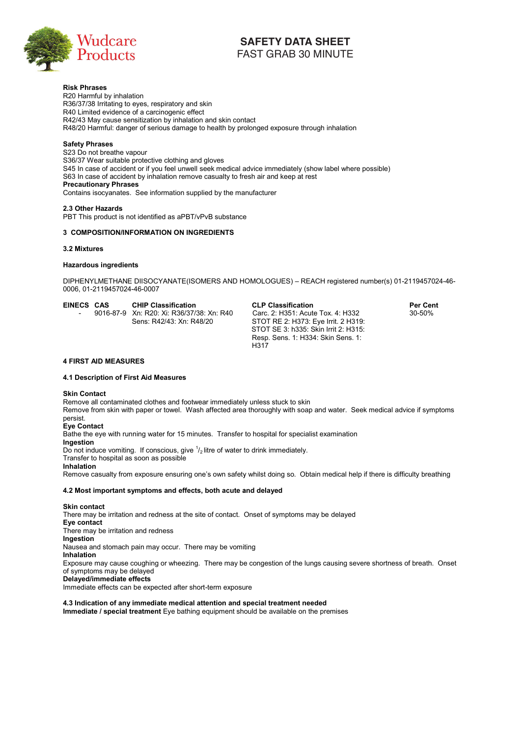

# FAST GRAB 30 MINUTE

**Risk Phrases**  R20 Harmful by inhalation R36/37/38 Irritating to eyes, respiratory and skin R40 Limited evidence of a carcinogenic effect R42/43 May cause sensitization by inhalation and skin contact R48/20 Harmful: danger of serious damage to health by prolonged exposure through inhalation

# **Safety Phrases**

S23 Do not breathe vapour S36/37 Wear suitable protective clothing and gloves S45 In case of accident or if you feel unwell seek medical advice immediately (show label where possible) S63 In case of accident by inhalation remove casualty to fresh air and keep at rest **Precautionary Phrases**  Contains isocyanates. See information supplied by the manufacturer **EXERCT V DATA SHEET**<br>
FAST GRAB 30 MINUTE<br>
FAST GRAB 30 MINUTE<br>
py and skin<br>
inic effect<br>
inalidion and skin contact<br>
ining and gloves<br>
unwell seek medical advice immediately (show label wh<br>
remove casuality to fresh air

**2.3 Other Hazards**  PBT This product is not identified as aPBT/vPvB substance

# **3 COMPOSITION/INFORMATION ON INGREDIENTS**

# **3.2 Mixtures**

# **Hazardous ingredients**

DIPHENYLMETHANE DIISOCYANATE(ISOMERS AND HOMOLOGUES) - REACH registered number(s) 01-2119457024-46-0006, 01-2119457024-46-0007

| EINECS CAS | <b>CHIP Classification</b>                | CL            |
|------------|-------------------------------------------|---------------|
|            | 9016-87-9 Xn: R20: Xi: R36/37/38: Xn: R40 | Cа            |
|            | Sens: R42/43: Xn: R48/20                  | ST)           |
|            |                                           | $\sim$ $\sim$ |

**EINECS CAS CHIP Classification CLP Classification Per Cent**  rc. 2: H351: Acute Tox. 4: H332 OT RE 2: H373: Eye Irrit. 2 H319: STOT SE 3: h335: Skin Irrit 2: H315: Resp. Sens. 1: H334: Skin Sens. 1: H317

# **4 FIRST AID MEASURES**

# **4.1 Description of First Aid Measures**

# **Skin Contact**

Remove all contaminated clothes and footwear immediately unless stuck to skin

Remove from skin with paper or towel. Wash affected area thoroughly with soap and water. Seek medical advice if symptoms persist.

# **Eye Contact**

Bathe the eye with running water for 15 minutes. Transfer to hospital for specialist examination

# **Ingestion**

Do not induce vomiting. If conscious, give  $\frac{1}{2}$  litre of water to drink immediately.

Transfer to hospital as soon as possible

# **Inhalation**

Remove casualty from exposure ensuring one's own safety whilst doing so. Obtain medical help if there is difficulty breathing

# **4.2 Most important symptoms and effects, both acute and delayed**

**Skin contact**  There may be irritation and redness at the site of contact. Onset of symptoms may be delayed **Eye contact**  There may be irritation and redness **Ingestion**  Nausea and stomach pain may occur. There may be vomiting **Inhalation**  Exposure may cause coughing or wheezing. There may be congestion of the lungs causing severe shortness of breath. Onset of symptoms may be delayed **Delayed/immediate effects**  Immediate effects can be expected after short-term exposure RS AND HOMOLOGUES) – R<br>
CLP Classification:<br>
THE 2: H351: Ac<br>
STOT RE 2: H37:<br>
STOT SE 3: h335<br>
Resp. Sens. 1: H;<br>
H317<br>
Minediately unless stuck to ski<br>
ected area thoroughly with sos<br>
Transfer to hospital for special<br>
ow

**4.3 Indication of any immediate medical attention and special treatment needed Immediate / special treatment** Eye bathing equipment should be available on the premises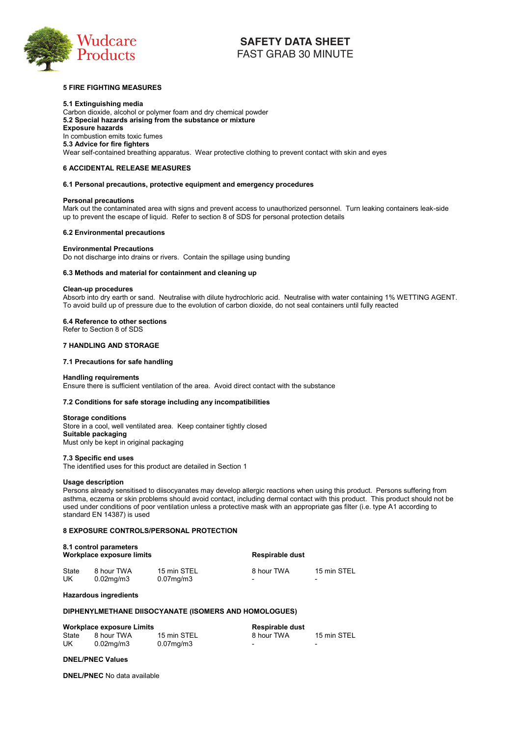

# **5 FIRE FIGHTING MEASURES**

**5.1 Extinguishing media**  Carbon dioxide, alcohol or polymer foam and dry chemical powder **5.2 Special hazards arising from the substance or mixture Exposure hazards**  In combustion emits toxic fumes **5.3 Advice for fire fighters**  Wear self-contained breathing apparatus. Wear protective clothing to prevent contact with skin and eyes

# **6 ACCIDENTAL RELEASE MEASURES**

# **6.1 Personal precautions, protective equipment and emergency procedures**

# **Personal precautions**

Mark out the contaminated area with signs and prevent access to unauthorized personnel. Turn leaking containers leak-side up to prevent the escape of liquid. Refer to section 8 of SDS for personal protection details

#### **6.2 Environmental precautions**

# **Environmental Precautions**

Do not discharge into drains or rivers. Contain the spillage using bunding

# **6.3 Methods and material for containment and cleaning up**

# **Clean-up procedures**

Absorb into dry earth or sand. Neutralise with dilute hydrochloric acid. Neutralise with water containing 1% WETTING AGENT. To avoid build up of pressure due to the evolution of carbon dioxide, do not seal containers until fully reacted

# **6.4 Reference to other sections**

Refer to Section 8 of SDS

# **7 HANDLING AND STORAGE**

# **7.1 Precautions for safe handling**

# **Handling requirements**

Ensure there is sufficient ventilation of the area. Avoid direct contact with the substance

# **7.2 Conditions for safe storage including any incompatibilities**

#### **Storage conditions**

Store in a cool, well ventilated area. Keep container tightly closed **Suitable packaging**  Must only be kept in original packaging

#### **7.3 Specific end uses**

The identified uses for this product are detailed in Section 1

#### **Usage description**

Persons already sensitised to diisocyanates may develop allergic reactions when using this product. Persons suffering from asthma, eczema or skin problems should avoid contact, including dermal contact with this product. This product should not be used under conditions of poor ventilation unless a protective mask with an appropriate gas filter (i.e. type A1 according to standard EN 14387) is used ne spillage using bunding<br>
deaning up<br>
ute hydrochloric acid. Neutral<br>
n of carbon dioxide, do not sea<br>
Avoid direct contact with the s<br>
incompatibilities<br>
iner tightly closed<br>
ner tightly closed<br>
ner tightly closed<br>
ner t

# **8 EXPOSURE CONTROLS/PERSONAL PROTECTION**

| 8.1 control parameters<br>Workplace exposure limits |                 | Respirable dust |                          |             |
|-----------------------------------------------------|-----------------|-----------------|--------------------------|-------------|
| State                                               | 8 hour TWA      | 15 min STEL     | 8 hour TWA               | 15 min STEL |
| UK                                                  | $0.02$ mg/m $3$ | $0.07$ mg/m $3$ | $\overline{\phantom{0}}$ | -           |

#### **Hazardous ingredients**

# **DIPHENYLMETHANE DIISOCYANATE (ISOMERS AND HOMOLOGUES)**

|       | <b>Workplace exposure Limits</b> |             | <b>Respirable dust</b> |                          |
|-------|----------------------------------|-------------|------------------------|--------------------------|
| State | 8 hour TWA                       | 15 min STEL | 8 hour TWA             | 15 min STEL              |
| UK    | 0.02mg/m3                        | 0.07mg/m3   | -                      | $\overline{\phantom{0}}$ |

# **DNEL/PNEC Values**

**DNEL/PNEC** No data available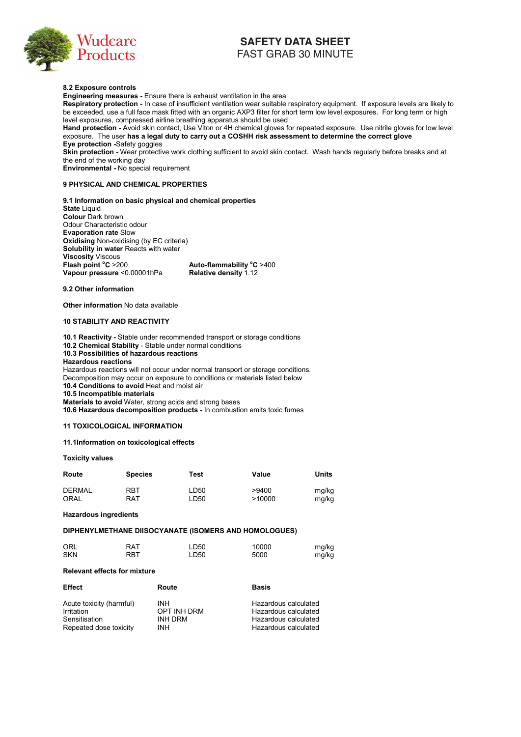

# **8.2 Exposure controls**

**Engineering measures - Ensure there is exhaust ventilation in the area** 

**Respiratory protection -** In case of insufficient ventilation wear suitable respiratory equipment. If exposure levels are likely to be exceeded, use a full face mask fitted with an organic AXP3 filter for short term low level exposures. For long term or high level exposures, compressed airline breathing apparatus should be used

**Hand protection -** Avoid skin contact, Use Viton or 4H chemical gloves for repeated exposure. Use nitrile gloves for low level exposure. The user **has a legal duty to carry out a COSHH risk assessment to determine the correct glove Eye protection -**Safety goggles

**Skin protection - Wear protective work clothing sufficient to avoid skin contact. Wash hands regularly before breaks and at** the end of the working day

**Environmental -** No special requirement

# **9 PHYSICAL AND CHEMICAL PROPERTIES**

**9.1 Information on basic physical and chemical properties** 

**State** Liquid **Colour** Dark brown Odour Characteristic odour **Evaporation rate** Slow **Oxidising** Non-oxidising (by EC criteria) **Solubility in water Reacts with water Viscosity** Viscous **Flash point °C** >200 **C** >200 **Auto-flammability <sup>o</sup> C** >400 **Vapour pressure** <0.00001hPa **Relative density** 1.12

#### **9.2 Other information**

**Other information** No data available

# **10 STABILITY AND REACTIVITY**

**10.1 Reactivity -** Stable under recommended transport or storage conditions **10.2 Chemical Stability** - Stable under normal conditions **10.3 Possibilities of hazardous reactions Hazardous reactions**  Hazardous reactions will not occur under normal transport or storage conditions. Decomposition may occur on exposure to conditions or materials listed below **10.4 Conditions to avoid** Heat and moist air **Pratterion rate Solution**<br> **Pratterion Fate Solution**<br> **Edity in water Feacts with water**<br> **Edity in water Feacts with water**<br> **Solution Columb Control of the Section Section Columb Control of the Pressure -0.00001hPa**<br>

**10.5 Incompatible materials** 

**Materials to avoid** Water, strong acids and strong bases **10.6 Hazardous decomposition products** - In combustion emits toxic fumes

# **11 TOXICOLOGICAL INFORMATION**

# **11.1Information on toxicological effects**

# **Toxicity values**

| Route         | <b>Species</b> | Test | Value  | Units |
|---------------|----------------|------|--------|-------|
| <b>DERMAL</b> | RBT            | LD50 | >9400  | mg/kg |
| <b>ORAL</b>   | RAT            | LD50 | >10000 | mg/kg |

**Hazardous ingredients** 

# **DIPHENYLMETHANE DIISOCYANATE (ISOMERS AND HOMOLOGUES)**

| ORL        | <b>RAT</b> | LD50 | 10000 | mg/kg |
|------------|------------|------|-------|-------|
| <b>SKN</b> | RBT        | LD50 | 5000  | mg/kg |

# **Relevant effects for mixture**

| <b>Effect</b>            | Route          | <b>Basis</b>         |
|--------------------------|----------------|----------------------|
| Acute toxicity (harmful) | INH            | Hazardous calculated |
| Irritation               | OPT INH DRM    | Hazardous calculated |
| Sensitisation            | <b>INH DRM</b> | Hazardous calculated |
| Repeated dose toxicity   | INH            | Hazardous calculated |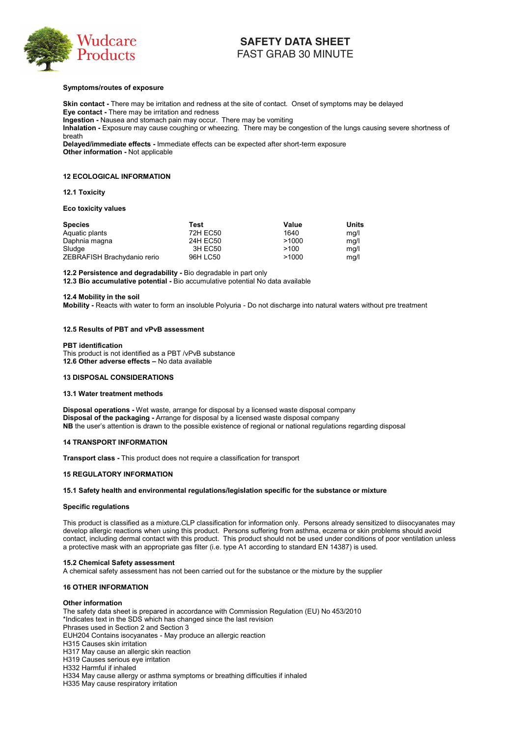

# **Symptoms/routes of exposure**

**Skin contact -** There may be irritation and redness at the site of contact. Onset of symptoms may be delayed **Eye contact -** There may be irritation and redness

**Ingestion -** Nausea and stomach pain may occur. There may be vomiting

**Inhalation -** Exposure may cause coughing or wheezing. There may be congestion of the lungs causing severe shortness of breath

**Delayed/immediate effects -** Immediate effects can be expected after short-term exposure **Other information -** Not applicable

# **12 ECOLOGICAL INFORMATION**

# **12.1 Toxicity**

#### **Eco toxicity values**

| <b>Species</b>              | Test     | Value | Units |
|-----------------------------|----------|-------|-------|
| Aquatic plants              | 72H EC50 | 1640  | mq/l  |
| Daphnia magna               | 24H EC50 | >1000 | mq/l  |
| Sludge                      | 3H EC50  | >100  | ma/l  |
| ZEBRAFISH Brachydanio rerio | 96H LC50 | >1000 | mg/l  |

**12.2 Persistence and degradability -** Bio degradable in part only

**12.3 Bio accumulative potential -** Bio accumulative potential No data available

#### **12.4 Mobility in the soil**

**Mobility -** Reacts with water to form an insoluble Polyuria - Do not discharge into natural waters without pre treatment

# **12.5 Results of PBT and vPvB assessment**

**PBT identification**  This product is not identified as a PBT /vPvB substance **12.6 Other adverse effects - No data available** 

# **13 DISPOSAL CONSIDERATIONS**

#### **13.1 Water treatment methods**

**Disposal operations -** Wet waste, arrange for disposal by a licensed waste disposal company **Disposal of the packaging -** Arrange for disposal by a licensed waste disposal company NB the user's attention is drawn to the possible existence of regional or national regulations regarding disposal

# **14 TRANSPORT INFORMATION**

**Transport class -** This product does not require a classification for transport

# **15 REGULATORY INFORMATION**

**15.1 Safety health and environmental regulations/legislation specific for the substance or mixture** 

# **Specific regulations**

This product is classified as a mixture.CLP classification for information only. Persons already sensitized to diisocyanates may develop allergic reactions when using this product. Persons suffering from asthma, eczema or skin problems should avoid contact, including dermal contact with this product. This product should not be used under conditions of poor ventilation unless a protective mask with an appropriate gas filter (i.e. type A1 according to standard EN 14387) is used. are paints<br>
one and area of the state of the state of the state of the state of the state of the state of the state of the state of the state of the state of the state of the state of the state of the solid magnitude pole

#### **15.2 Chemical Safety assessment**

A chemical safety assessment has not been carried out for the substance or the mixture by the supplier

# **16 OTHER INFORMATION**

#### **Other information**

The safety data sheet is prepared in accordance with Commission Regulation (EU) No 453/2010 \*Indicates text in the SDS which has changed since the last revision Phrases used in Section 2 and Section 3 EUH204 Contains isocyanates - May produce an allergic reaction H315 Causes skin irritation H317 May cause an allergic skin reaction H319 Causes serious eye irritation H332 Harmful if inhaled H334 May cause allergy or asthma symptoms or breathing difficulties if inhaled

H335 May cause respiratory irritation